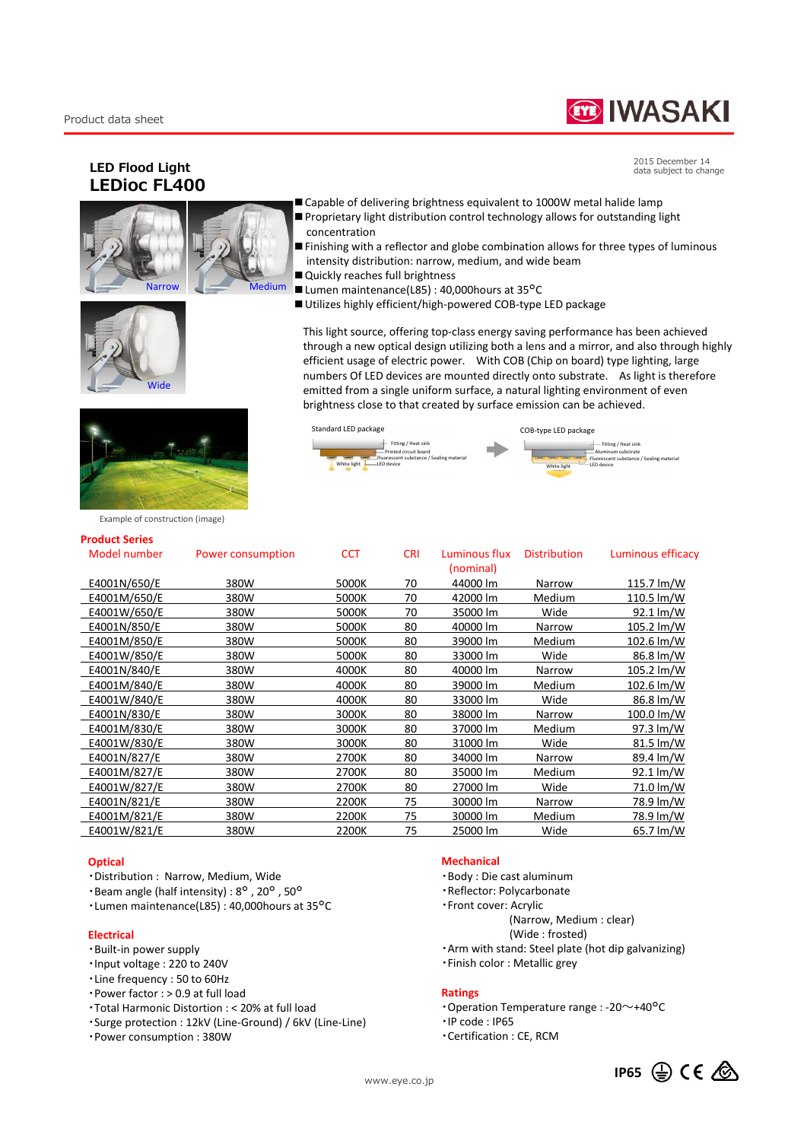# **TE IWASAKI**

2015 December 14 data subject to change

Aluminum substrate Fluorescent substance / Sealing material Fitting / Heat sink

## **LED Flood Light LEDioc FL400**







- Capable of delivering brightness equivalent to 1000W metal halide lamp
- Proprietary light distribution control technology allows for outstanding light concentration
- Finishing with a reflector and globe combination allows for three types of luminous intensity distribution: narrow, medium, and wide beam
- Quickly reaches full brightness
- Lumen maintenance(L85) : 40,000 hours at 35°C

Fitting / Heat sink Printed circuit board ea circuit board<br>ont substance / Sealing materia

LED device

■ Utilizes highly efficient/high-powered COB-type LED package

Standard LED package COB-type LED package

White light **LED** device **CED** device

This light source, offering top-class energy saving performance has been achieved through a new optical design utilizing both a lens and a mirror, and also through highly efficient usage of electric power. With COB (Chip on board) type lighting, large numbers Of LED devices are mounted directly onto substrate. As light is therefore emitted from a single uniform surface, a natural lighting environment of even brightness close to that created by surface emission can be achieved.

hite light



Example of construction (image)

#### **Product Series**

| Model number | Power consumption | <b>CCT</b> | <b>CRI</b> | Luminous flux<br>(nominal) | <b>Distribution</b> | Luminous efficacy    |
|--------------|-------------------|------------|------------|----------------------------|---------------------|----------------------|
| E4001N/650/E | 380W              | 5000K      | 70         | 44000 lm                   | Narrow              | 115.7 $Im/W$         |
| E4001M/650/E | 380W              | 5000K      | 70         | 42000 lm                   | Medium              | 110.5 $Im/W$         |
| E4001W/650/E | 380W              | 5000K      | 70         | 35000 lm                   | Wide                | $92.1 \text{ Im/W}$  |
| E4001N/850/E | 380W              | 5000K      | 80         | 40000 lm                   | Narrow              | $105.2 \text{ Im/W}$ |
| E4001M/850/E | 380W              | 5000K      | 80         | 39000 lm                   | Medium              | $102.6 \text{ Im/W}$ |
| E4001W/850/E | 380W              | 5000K      | 80         | 33000 lm                   | Wide                | 86.8 lm/W            |
| E4001N/840/E | 380W              | 4000K      | 80         | 40000 lm                   | Narrow              | $105.2 \text{ Im/W}$ |
| E4001M/840/E | 380W              | 4000K      | 80         | 39000 lm                   | Medium              | $102.6 \text{ Im/W}$ |
| E4001W/840/E | 380W              | 4000K      | 80         | 33000 lm                   | Wide                | 86.8 lm/W            |
| E4001N/830/E | 380W              | 3000K      | 80         | 38000 lm                   | Narrow              | 100.0 lm/W           |
| E4001M/830/E | 380W              | 3000K      | 80         | 37000 lm                   | Medium              | 97.3 lm/W            |
| E4001W/830/E | 380W              | 3000K      | 80         | 31000 lm                   | Wide                | $81.5 \text{ Im/W}$  |
| E4001N/827/E | 380W              | 2700K      | 80         | 34000 lm                   | Narrow              | 89.4 lm/W            |
| E4001M/827/E | 380W              | 2700K      | 80         | 35000 lm                   | Medium              | 92.1 lm/W            |
| E4001W/827/E | 380W              | 2700K      | 80         | 27000 lm                   | Wide                | 71.0 lm/W            |
| E4001N/821/E | 380W              | 2200K      | 75         | 30000 lm                   | Narrow              | 78.9 lm/W            |
| E4001M/821/E | 380W              | 2200K      | 75         | 30000 lm                   | Medium              | 78.9 lm/W            |
| E4001W/821/E | 380W              | 2200K      | 75         | 25000 lm                   | Wide                | 65.7 lm/W            |
|              |                   |            |            |                            |                     |                      |

#### **Optical**

- ・Distribution : Narrow, Medium, Wide
- ・Beam angle (half intensity) : 8° , 20° , 50°
- ・Lumen maintenance(L85) : 40,000hours at 35°C

#### **Electrical**

- ・Built-in power supply
- ・Input voltage : 220 to 240V
- ・Line frequency : 50 to 60Hz
- ・Power factor : > 0.9 at full load
- ・Total Harmonic Distortion : < 20% at full load
- ・Surge protection : 12kV (Line-Ground) / 6kV (Line-Line)
- ・Power consumption : 380W

## **Mechanical**

- ・Body : Die cast aluminum
- ・Reflector: Polycarbonate
- ・Front cover: Acrylic
	- (Narrow, Medium : clear)
	- (Wide : frosted)
- ・Arm with stand: Steel plate (hot dip galvanizing)
- ・Finish color : Metallic grey

#### **Ratings**

- ・Operation Temperature range : -20~+40°C
- ・IP code : IP65
- ・Certification : CE, RCM